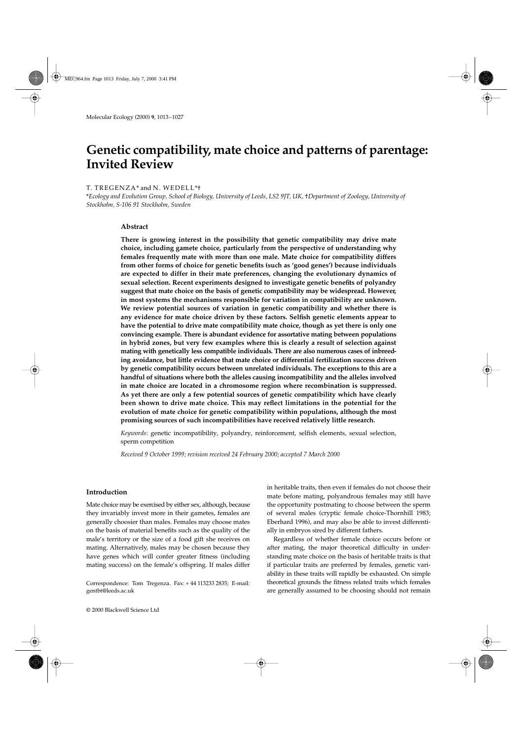# Genetic compatibility, mate choice and patterns of parentage: **Invited Review**

## T. TREGENZA\* and N. WEDELL\*†

\**Ecology and Evolution Group, School of Biology, University of Leeds, LS2 9JT, UK,* †*Department of Zoology, University of Stockholm, S-106 91 Stockholm, Sweden*

#### **Abstract**

**There is growing interest in the possibility that genetic compatibility may drive mate choice, including gamete choice, particularly from the perspective of understanding why females frequently mate with more than one male. Mate choice for compatibility differs from other forms of choice for genetic benefits (such as 'good genes') because individuals are expected to differ in their mate preferences, changing the evolutionary dynamics of sexual selection. Recent experiments designed to investigate genetic benefits of polyandry suggest that mate choice on the basis of genetic compatibility may be widespread. However, in most systems the mechanisms responsible for variation in compatibility are unknown. We review potential sources of variation in genetic compatibility and whether there is any evidence for mate choice driven by these factors. Selfish genetic elements appear to have the potential to drive mate compatibility mate choice, though as yet there is only one convincing example. There is abundant evidence for assortative mating between populations in hybrid zones, but very few examples where this is clearly a result of selection against mating with genetically less compatible individuals. There are also numerous cases of inbreeding avoidance, but little evidence that mate choice or differential fertilization success driven by genetic compatibility occurs between unrelated individuals. The exceptions to this are a handful of situations where both the alleles causing incompatibility and the alleles involved in mate choice are located in a chromosome region where recombination is suppressed. As yet there are only a few potential sources of genetic compatibility which have clearly been shown to drive mate choice. This may reflect limitations in the potential for the evolution of mate choice for genetic compatibility within populations, although the most promising sources of such incompatibilities have received relatively little research.**

*Keywords*: genetic incompatibility, polyandry, reinforcement, selfish elements, sexual selection, sperm competition

*Received 9 October 1999; revision received 24 February 2000; accepted 7 March 2000*

#### **Introduction**

Mate choice may be exercised by either sex, although, because they invariably invest more in their gametes, females are generally choosier than males. Females may choose mates on the basis of material benefits such as the quality of the male's territory or the size of a food gift she receives on mating. Alternatively, males may be chosen because they have genes which will confer greater fitness (including mating success) on the female's offspring. If males differ

Correspondence: Tom Tregenza. Fax: + 44 113233 2835; E-mail: gentbt@leeds.ac.uk

in heritable traits, then even if females do not choose their mate before mating, polyandrous females may still have the opportunity postmating to choose between the sperm of several males (cryptic female choice-Thornhill 1983; Eberhard 1996), and may also be able to invest differentially in embryos sired by different fathers.

Regardless of whether female choice occurs before or after mating, the major theoretical difficulty in understanding mate choice on the basis of heritable traits is that if particular traits are preferred by females, genetic variability in these traits will rapidly be exhausted. On simple theoretical grounds the fitness related traits which females are generally assumed to be choosing should not remain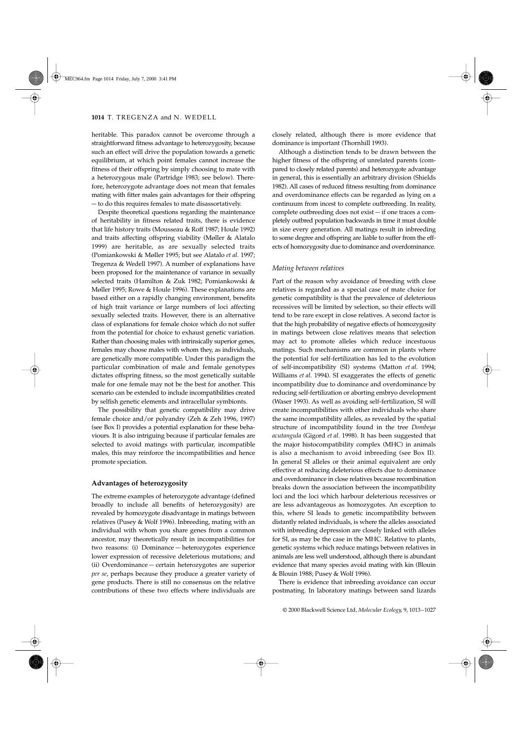heritable. This paradox cannot be overcome through a straightforward fitness advantage to heterozygosity, because such an effect will drive the population towards a genetic equilibrium, at which point females cannot increase the fitness of their offspring by simply choosing to mate with a heterozygous male (Partridge 1983; see below). Therefore, heterozygote advantage does not mean that females mating with fitter males gain advantages for their offspring — to do this requires females to mate disassortatively.

Despite theoretical questions regarding the maintenance of heritability in fitness related traits, there is evidence that life history traits (Mousseau & Roff 1987; Houle 1992) and traits affecting offspring viability (Møller & Alatalo 1999) are heritable, as are sexually selected traits (Pomiankowski & Møller 1995; but see Alatalo *et al*. 1997; Tregenza & Wedell 1997). A number of explanations have been proposed for the maintenance of variance in sexually selected traits (Hamilton & Zuk 1982; Pomiankowski & Møller 1995; Rowe & Houle 1996). These explanations are based either on a rapidly changing environment, benefits of high trait variance or large numbers of loci affecting sexually selected traits. However, there is an alternative class of explanations for female choice which do not suffer from the potential for choice to exhaust genetic variation. Rather than choosing males with intrinsically superior genes, females may choose males with whom they, as individuals, are genetically more compatible. Under this paradigm the particular combination of male and female genotypes dictates offspring fitness, so the most genetically suitable male for one female may not be the best for another. This scenario can be extended to include incompatibilities created by selfish genetic elements and intracellular symbionts.

The possibility that genetic compatibility may drive female choice and/or polyandry (Zeh & Zeh 1996, 1997) (see Box I) provides a potential explanation for these behaviours. It is also intriguing because if particular females are selected to avoid matings with particular, incompatible males, this may reinforce the incompatibilities and hence promote speciation.

#### **Advantages of heterozygosity**

The extreme examples of heterozygote advantage (defined broadly to include all benefits of heterozygosity) are revealed by homozygote disadvantage in matings between relatives (Pusey & Wolf 1996). Inbreeding, mating with an individual with whom you share genes from a common ancestor, may theoretically result in incompatibilities for two reasons: (i) Dominance — heterozygotes experience lower expression of recessive deleterious mutations; and (ii) Overdominance — certain heterozygotes are superior *per se*, perhaps because they produce a greater variety of gene products. There is still no consensus on the relative contributions of these two effects where individuals are

closely related, although there is more evidence that dominance is important (Thornhill 1993).

Although a distinction tends to be drawn between the higher fitness of the offspring of unrelated parents (compared to closely related parents) and heterozygote advantage in general, this is essentially an arbitrary division (Shields 1982). All cases of reduced fitness resulting from dominance and overdominance effects can be regarded as lying on a continuum from incest to complete outbreeding. In reality, complete outbreeding does not exist — if one traces a completely outbred population backwards in time it must double in size every generation. All matings result in inbreeding to some degree and offspring are liable to suffer from the effects of homozygosity due to dominance and overdominance.

#### *Mating between relatives*

Part of the reason why avoidance of breeding with close relatives is regarded as a special case of mate choice for genetic compatibility is that the prevalence of deleterious recessives will be limited by selection, so their effects will tend to be rare except in close relatives. A second factor is that the high probability of negative effects of homozygosity in matings between close relatives means that selection may act to promote alleles which reduce incestuous matings. Such mechanisms are common in plants where the potential for self-fertilization has led to the evolution of self-incompatibility (SI) systems (Matton *et al*. 1994; Williams *et al*. 1994). SI exaggerates the effects of genetic incompatibility due to dominance and overdominance by reducing self-fertilization or aborting embryo development (Waser 1993). As well as avoiding self-fertilization, SI will create incompatibilities with other individuals who share the same incompatibility alleles, as revealed by the spatial structure of incompatibility found in the tree *Dombeya acutangula* (Gigord *et al*. 1998). It has been suggested that the major histocompatibility complex (MHC) in animals is also a mechanism to avoid inbreeding (see Box II). In general SI alleles or their animal equivalent are only effective at reducing deleterious effects due to dominance and overdominance in close relatives because recombination breaks down the association between the incompatibility loci and the loci which harbour deleterious recessives or are less advantageous as homozygotes. An exception to this, where SI leads to genetic incompatibility between distantly related individuals, is where the alleles associated with inbreeding depression are closely linked with alleles for SI, as may be the case in the MHC. Relative to plants, genetic systems which reduce matings between relatives in animals are less well understood, although there is abundant evidence that many species avoid mating with kin (Blouin & Blouin 1988; Pusey & Wolf 1996).

There is evidence that inbreeding avoidance can occur postmating. In laboratory matings between sand lizards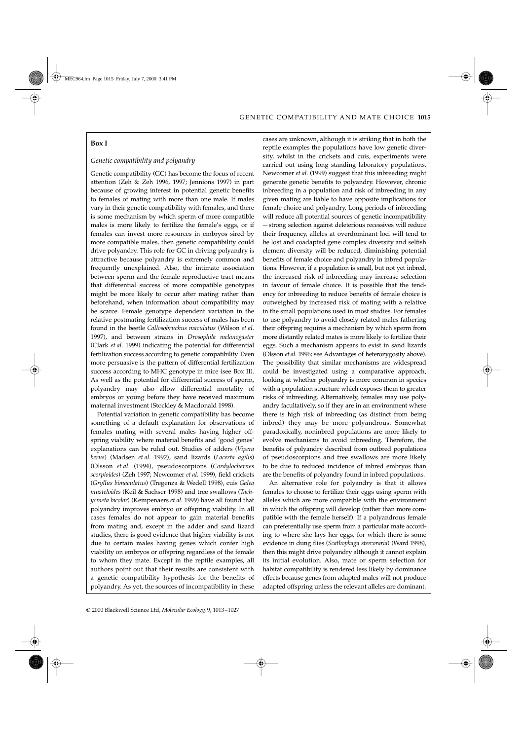## **Box I**

# *Genetic compatibility and polyandry*

Genetic compatibility (GC) has become the focus of recent attention (Zeh & Zeh 1996, 1997; Jennions 1997) in part because of growing interest in potential genetic benefits to females of mating with more than one male. If males vary in their genetic compatibility with females, and there is some mechanism by which sperm of more compatible males is more likely to fertilize the female's eggs, or if females can invest more resources in embryos sired by more compatible males, then genetic compatibility could drive polyandry. This role for GC in driving polyandry is attractive because polyandry is extremely common and frequently unexplained. Also, the intimate association between sperm and the female reproductive tract means that differential success of more compatible genotypes might be more likely to occur after mating rather than beforehand, when information about compatibility may be scarce. Female genotype dependent variation in the relative postmating fertilization success of males has been found in the beetle *Callosobruchus maculatus* (Wilson *et al*. 1997), and between strains in *Drosophila melanogaster* (Clark *et al*. 1999) indicating the potential for differential fertilization success according to genetic compatibility. Even more persuasive is the pattern of differential fertilization success according to MHC genotype in mice (see Box II). As well as the potential for differential success of sperm, polyandry may also allow differential mortality of embryos or young before they have received maximum maternal investment (Stockley & Macdonald 1998).

Potential variation in genetic compatibility has become something of a default explanation for observations of females mating with several males having higher offspring viability where material benefits and 'good genes' explanations can be ruled out. Studies of adders (*Vipera berus*) (Madsen *et al*. 1992), sand lizards (*Lacerta agilis*) (Olsson *et al*. (1994), pseudoscorpions (*Cordylochernes scorpioides*) (Zeh 1997; Newcomer *et al*. 1999), field crickets (*Gryllus bimaculatus*) (Tregenza & Wedell 1998), cuis *Galea musteloides* (Keil & Sachser 1998) and tree swallows (*Tachycineta bicolor*) (Kempenaers *et al*. 1999) have all found that polyandry improves embryo or offspring viability. In all cases females do not appear to gain material benefits from mating and, except in the adder and sand lizard studies, there is good evidence that higher viability is not due to certain males having genes which confer high viability on embryos or offspring regardless of the female to whom they mate. Except in the reptile examples, all authors point out that their results are consistent with a genetic compatibility hypothesis for the benefits of polyandry. As yet, the sources of incompatibility in these

cases are unknown, although it is striking that in both the reptile examples the populations have low genetic diversity, whilst in the crickets and cuis, experiments were carried out using long standing laboratory populations. Newcomer *et al*. (1999) suggest that this inbreeding might generate genetic benefits to polyandry. However, chronic inbreeding in a population and risk of inbreeding in any given mating are liable to have opposite implications for female choice and polyandry. Long periods of inbreeding will reduce all potential sources of genetic incompatibility — strong selection against deleterious recessives will reduce their frequency, alleles at overdominant loci will tend to be lost and coadapted gene complex diversity and selfish element diversity will be reduced, diminishing potential benefits of female choice and polyandry in inbred populations. However, if a population is small, but not yet inbred, the increased risk of inbreeding may increase selection in favour of female choice. It is possible that the tendency for inbreeding to reduce benefits of female choice is outweighed by increased risk of mating with a relative in the small populations used in most studies. For females to use polyandry to avoid closely related males fathering their offspring requires a mechanism by which sperm from more distantly related mates is more likely to fertilize their eggs. Such a mechanism appears to exist in sand lizards (Olsson *et al*. 1996; see Advantages of heterozygosity above). The possibility that similar mechanisms are widespread could be investigated using a comparative approach, looking at whether polyandry is more common in species with a population structure which exposes them to greater risks of inbreeding. Alternatively, females may use polyandry facultatively, so if they are in an environment where there is high risk of inbreeding (as distinct from being inbred) they may be more polyandrous. Somewhat paradoxically, noninbred populations are more likely to evolve mechanisms to avoid inbreeding. Therefore, the benefits of polyandry described from outbred populations of pseudoscorpions and tree swallows are more likely to be due to reduced incidence of inbred embryos than are the benefits of polyandry found in inbred populations.

An alternative role for polyandry is that it allows females to choose to fertilize their eggs using sperm with alleles which are more compatible with the environment in which the offspring will develop (rather than more compatible with the female herself). If a polyandrous female can preferentially use sperm from a particular mate according to where she lays her eggs, for which there is some evidence in dung flies (*Scathophaga stercoraria*) (Ward 1998), then this might drive polyandry although it cannot explain its initial evolution. Also, mate or sperm selection for habitat compatibility is rendered less likely by dominance effects because genes from adapted males will not produce adapted offspring unless the relevant alleles are dominant.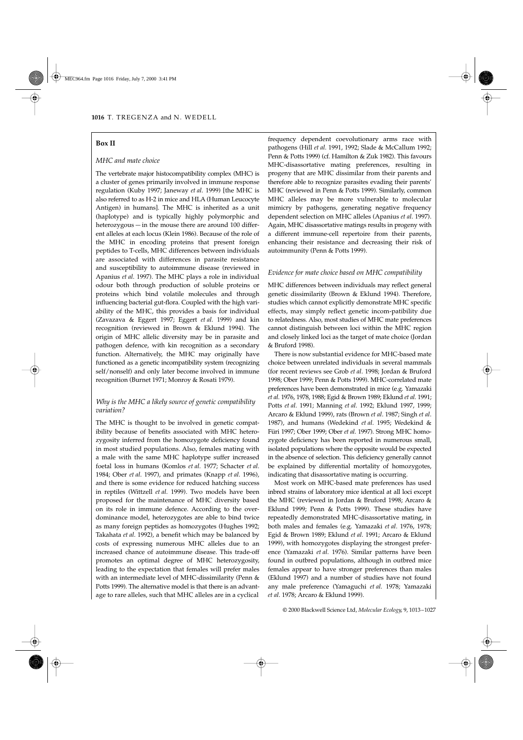## **Box II**

# *MHC and mate choice*

The vertebrate major histocompatibility complex (MHC) is a cluster of genes primarily involved in immune response regulation (Kuby 1997; Janeway *et al*. 1999) [the MHC is also referred to as H-2 in mice and HLA (Human Leucocyte Antigen) in humans]. The MHC is inherited as a unit (haplotype) and is typically highly polymorphic and heterozygous — in the mouse there are around 100 different alleles at each locus (Klein 1986). Because of the role of the MHC in encoding proteins that present foreign peptides to T-cells, MHC differences between individuals are associated with differences in parasite resistance and susceptibility to autoimmune disease (reviewed in Apanius *et al*. 1997). The MHC plays a role in individual odour both through production of soluble proteins or proteins which bind volatile molecules and through influencing bacterial gut-flora. Coupled with the high variability of the MHC, this provides a basis for individual (Zavazava & Eggert 1997; Eggert *et al*. 1999) and kin recognition (reviewed in Brown & Eklund 1994). The origin of MHC allelic diversity may be in parasite and pathogen defence, with kin recognition as a secondary function. Alternatively, the MHC may originally have functioned as a genetic incompatibility system (recognizing self/nonself) and only later become involved in immune recognition (Burnet 1971; Monroy & Rosati 1979).

# *Why is the MHC a likely source of genetic compatibility variation?*

The MHC is thought to be involved in genetic compatibility because of benefits associated with MHC heterozygosity inferred from the homozygote deficiency found in most studied populations. Also, females mating with a male with the same MHC haplotype suffer increased foetal loss in humans (Komlos *et al*. 1977; Schacter *et al*. 1984; Ober *et al*. 1997), and primates (Knapp *et al*. 1996), and there is some evidence for reduced hatching success in reptiles (Wittzell *et al*. 1999). Two models have been proposed for the maintenance of MHC diversity based on its role in immune defence. According to the overdominance model, heterozygotes are able to bind twice as many foreign peptides as homozygotes (Hughes 1992; Takahata *et al*. 1992), a benefit which may be balanced by costs of expressing numerous MHC alleles due to an increased chance of autoimmune disease. This trade-off promotes an optimal degree of MHC heterozygosity, leading to the expectation that females will prefer males with an intermediate level of MHC-dissimilarity (Penn & Potts 1999). The alternative model is that there is an advantage to rare alleles, such that MHC alleles are in a cyclical

frequency dependent coevolutionary arms race with pathogens (Hill *et al*. 1991, 1992; Slade & McCallum 1992; Penn & Potts 1999) (cf. Hamilton & Zuk 1982). This favours MHC-disassortative mating preferences, resulting in progeny that are MHC dissimilar from their parents and therefore able to recognize parasites evading their parents' MHC (reviewed in Penn & Potts 1999). Similarly, common MHC alleles may be more vulnerable to molecular mimicry by pathogens, generating negative frequency dependent selection on MHC alleles (Apanius *et al*. 1997). Again, MHC disassortative matings results in progeny with a different immune-cell repertoire from their parents, enhancing their resistance and decreasing their risk of autoimmunity (Penn & Potts 1999).

## *Evidence for mate choice based on MHC compatibility*

MHC differences between individuals may reflect general genetic dissimilarity (Brown & Eklund 1994). Therefore, studies which cannot explicitly demonstrate MHC specific effects, may simply reflect genetic incom-patibility due to relatedness. Also, most studies of MHC mate preferences cannot distinguish between loci within the MHC region and closely linked loci as the target of mate choice (Jordan & Bruford 1998).

There is now substantial evidence for MHC-based mate choice between unrelated individuals in several mammals (for recent reviews see Grob *et al*. 1998; Jordan & Bruford 1998; Ober 1999; Penn & Potts 1999). MHC-correlated mate preferences have been demonstrated in mice (e.g. Yamazaki *et al*. 1976, 1978, 1988; Egid & Brown 1989; Eklund *et al*. 1991; Potts *et al*. 1991; Manning *et al*. 1992; Eklund 1997, 1999; Arcaro & Eklund 1999), rats (Brown *et al*. 1987; Singh *et al*. 1987), and humans (Wedekind *et al*. 1995; Wedekind & Füri 1997; Ober 1999; Ober *et al*. 1997). Strong MHC homozygote deficiency has been reported in numerous small, isolated populations where the opposite would be expected in the absence of selection. This deficiency generally cannot be explained by differential mortality of homozygotes, indicating that disassortative mating is occurring.

Most work on MHC-based mate preferences has used inbred strains of laboratory mice identical at all loci except the MHC (reviewed in Jordan & Bruford 1998; Arcaro & Eklund 1999; Penn & Potts 1999). These studies have repeatedly demonstrated MHC-disassortative mating, in both males and females (e.g. Yamazaki *et al*. 1976, 1978; Egid & Brown 1989; Eklund *et al*. 1991; Arcaro & Eklund 1999), with homozygotes displaying the strongest preference (Yamazaki *et al*. 1976). Similar patterns have been found in outbred populations, although in outbred mice females appear to have stronger preferences than males (Eklund 1997) and a number of studies have not found any male preference (Yamaguchi *et al*. 1978; Yamazaki *et al*. 1978; Arcaro & Eklund 1999).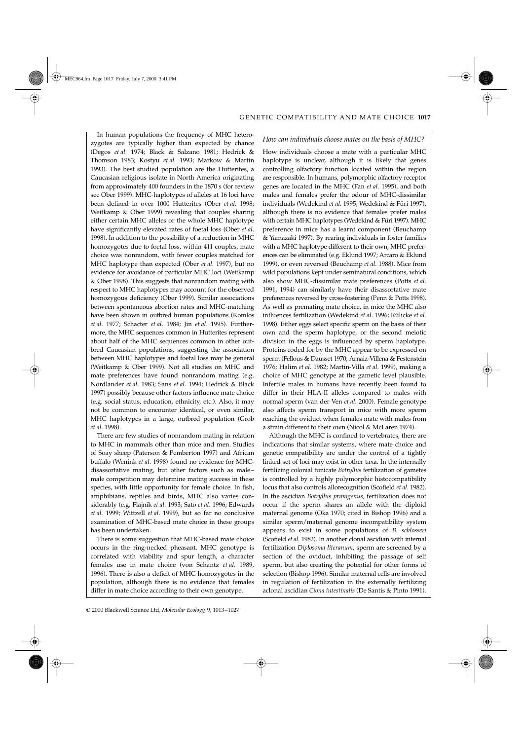In human populations the frequency of MHC heterozygotes are typically higher than expected by chance (Degos *et al*. 1974; Black & Salzano 1981; Hedrick & Thomson 1983; Kostyu *et al*. 1993; Markow & Martin 1993). The best studied population are the Hutterites, a Caucasian religious isolate in North America originating from approximately 400 founders in the 1870 s (for review see Ober 1999). MHC-haplotypes of alleles at 16 loci have been defined in over 1000 Hutterites (Ober *et al*. 1998; Weitkamp & Ober 1999) revealing that couples sharing either certain MHC alleles or the whole MHC haplotype have significantly elevated rates of foetal loss (Ober *et al*. 1998). In addition to the possibility of a reduction in MHC homozygotes due to foetal loss, within 411 couples, mate choice was nonrandom, with fewer couples matched for MHC haplotype than expected (Ober *et al*. 1997), but no evidence for avoidance of particular MHC loci (Weitkamp & Ober 1998). This suggests that nonrandom mating with respect to MHC haplotypes may account for the observed homozygous deficiency (Ober 1999). Similar associations between spontaneous abortion rates and MHC-matching have been shown in outbred human populations (Komlos *et al*. 1977; Schacter *et al*. 1984; Jin *et al*. 1995). Furthermore, the MHC sequences common in Hutterites represent about half of the MHC sequences common in other outbred Caucasian populations, suggesting the association between MHC haplotypes and foetal loss may be general (Weitkamp & Ober 1999). Not all studies on MHC and mate preferences have found nonrandom mating (e.g. Nordlander *et al*. 1983; Sans *et al*. 1994; Hedrick & Black 1997) possibly because other factors influence mate choice (e.g. social status, education, ethnicity, etc.). Also, it may not be common to encounter identical, or even similar, MHC haplotypes in a large, outbred population (Grob *et al*. 1998).

There are few studies of nonrandom mating in relation to MHC in mammals other than mice and men. Studies of Soay sheep (Paterson & Pemberton 1997) and African buffalo (Wenink *et al*. 1998) found no evidence for MHCdisassortative mating, but other factors such as male– male competition may determine mating success in these species, with little opportunity for female choice. In fish, amphibians, reptiles and birds, MHC also varies considerably (e.g. Flajnik *et al*. 1993; Sato *et al*. 1996; Edwards *et al*. 1999; Wittzell *et al*. 1999), but so far no conclusive examination of MHC-based mate choice in these groups has been undertaken.

There is some suggestion that MHC-based mate choice occurs in the ring-necked pheasant. MHC genotype is correlated with viability and spur length, a character females use in mate choice (von Schantz *et al*. 1989, 1996). There is also a deficit of MHC homozygotes in the population, although there is no evidence that females differ in mate choice according to their own genotype.

## © 2000 Blackwell Science Ltd, *Molecular Ecology*, 9, 1013–1027

## *How can individuals choose mates on the basis of MHC?*

How individuals choose a mate with a particular MHC haplotype is unclear, although it is likely that genes controlling olfactory function located within the region are responsible. In humans, polymorphic olfactory receptor genes are located in the MHC (Fan *et al*. 1995), and both males and females prefer the odour of MHC-dissimilar individuals (Wedekind *et al*. 1995; Wedekind & Füri 1997), although there is no evidence that females prefer males with certain MHC haplotypes (Wedekind & Füri 1997). MHC preference in mice has a learnt component (Beuchamp & Yamazaki 1997). By rearing individuals in foster families with a MHC haplotype different to their own, MHC preferences can be eliminated (e.g. Eklund 1997; Arcaro & Eklund 1999), or even reversed (Beuchamp *et al*. 1988). Mice from wild populations kept under seminatural conditions, which also show MHC-dissimilar mate preferences (Potts *et al*. 1991, 1994) can similarly have their disassortative mate preferences reversed by cross-fostering (Penn & Potts 1998). As well as premating mate choice, in mice the MHC also influences fertilization (Wedekind *et al*. 1996; Rülicke *et al*. 1998). Either eggs select specific sperm on the basis of their own and the sperm haplotype, or the second meiotic division in the eggs is influenced by sperm haplotype. Proteins coded for by the MHC appear to be expressed on sperm (Fellous & Dausset 1970; Arnaiz-Villena & Festenstein 1976; Halim *et al*. 1982; Martin-Villa *et al*. 1999), making a choice of MHC genotype at the gametic level plausible. Infertile males in humans have recently been found to differ in their HLA-II alleles compared to males with normal sperm (van der Ven *et al*. 2000). Female genotype also affects sperm transport in mice with more sperm reaching the oviduct when females mate with males from a strain different to their own (Nicol & McLaren 1974).

Although the MHC is confined to vertebrates, there are indications that similar systems, where mate choice and genetic compatibility are under the control of a tightly linked set of loci may exist in other taxa. In the internally fertilizing colonial tunicate *Botryllus* fertilization of gametes is controlled by a highly polymorphic histocompatibility locus that also controls allorecognition (Scofield *et al*. 1982). In the ascidian *Botryllus primigenus*, fertilization does not occur if the sperm shares an allele with the diploid maternal genome (Oka 1970; cited in Bishop 1996) and a similar sperm/maternal genome incompatibility system appears to exist in some populations of *B. schlosseri* (Scofield *et al*. 1982). In another clonal ascidian with internal fertilization *Diplosoma literanum*, sperm are screened by a section of the oviduct, inhibiting the passage of self sperm, but also creating the potential for other forms of selection (Bishop 1996). Similar maternal cells are involved in regulation of fertilization in the externally fertilizing aclonal ascidian *Ciona intestinalis* (De Santis & Pinto 1991).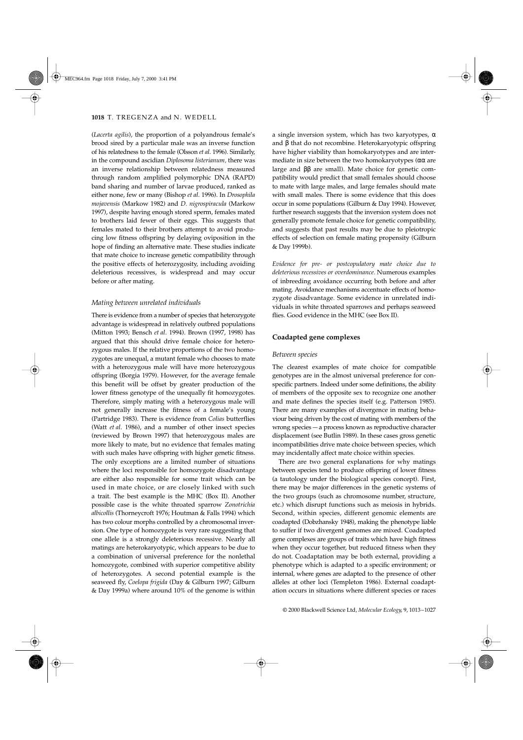(*Lacerta agilis*), the proportion of a polyandrous female's brood sired by a particular male was an inverse function of his relatedness to the female (Olsson *et al*. 1996). Similarly, in the compound ascidian *Diplosoma listerianum,* there was an inverse relationship between relatedness measured through random amplified polymorphic DNA (RAPD) band sharing and number of larvae produced, ranked as either none, few or many (Bishop *et al*. 1996). In *Drosophila mojavensis* (Markow 1982) and *D. nigrospiracula* (Markow 1997), despite having enough stored sperm, females mated to brothers laid fewer of their eggs. This suggests that females mated to their brothers attempt to avoid producing low fitness offspring by delaying oviposition in the hope of finding an alternative mate. These studies indicate that mate choice to increase genetic compatibility through the positive effects of heterozygosity, including avoiding deleterious recessives, is widespread and may occur before or after mating.

## *Mating between unrelated individuals*

There is evidence from a number of species that heterozygote advantage is widespread in relatively outbred populations (Mitton 1993; Bensch *et al*. 1994). Brown (1997, 1998) has argued that this should drive female choice for heterozygous males. If the relative proportions of the two homozygotes are unequal, a mutant female who chooses to mate with a heterozygous male will have more heterozygous offspring (Borgia 1979). However, for the average female this benefit will be offset by greater production of the lower fitness genotype of the unequally fit homozygotes. Therefore, simply mating with a heterozygous male will not generally increase the fitness of a female's young (Partridge 1983). There is evidence from *Colias* butterflies (Watt *et al*. 1986), and a number of other insect species (reviewed by Brown 1997) that heterozygous males are more likely to mate, but no evidence that females mating with such males have offspring with higher genetic fitness. The only exceptions are a limited number of situations where the loci responsible for homozygote disadvantage are either also responsible for some trait which can be used in mate choice, or are closely linked with such a trait. The best example is the MHC (Box II). Another possible case is the white throated sparrow *Zonotrichia albicollis* (Thorneycroft 1976; Houtman & Falls 1994) which has two colour morphs controlled by a chromosomal inversion. One type of homozygote is very rare suggesting that one allele is a strongly deleterious recessive. Nearly all matings are heterokaryotypic, which appears to be due to a combination of universal preference for the nonlethal homozygote, combined with superior competitive ability of heterozygotes. A second potential example is the seaweed fly, *Coelopa frigida* (Day & Gilburn 1997; Gilburn & Day 1999a) where around 10% of the genome is within

a single inversion system, which has two karyotypes, α and β that do not recombine. Heterokaryotypic offspring have higher viability than homokaryotypes and are intermediate in size between the two homokaryotypes (αα are large and ββ are small). Mate choice for genetic compatibility would predict that small females should choose to mate with large males, and large females should mate with small males. There is some evidence that this does occur in some populations (Gilburn & Day 1994). However, further research suggests that the inversion system does not generally promote female choice for genetic compatibility, and suggests that past results may be due to pleiotropic effects of selection on female mating propensity (Gilburn & Day 1999b).

*Evidence for pre- or postcopulatory mate choice due to deleterious recessives or overdominance.* Numerous examples of inbreeding avoidance occurring both before and after mating. Avoidance mechanisms accentuate effects of homozygote disadvantage. Some evidence in unrelated individuals in white throated sparrows and perhaps seaweed flies. Good evidence in the MHC (see Box II).

## **Coadapted gene complexes**

#### *Between species*

The clearest examples of mate choice for compatible genotypes are in the almost universal preference for conspecific partners. Indeed under some definitions, the ability of members of the opposite sex to recognize one another and mate defines the species itself (e.g. Patterson 1985). There are many examples of divergence in mating behaviour being driven by the cost of mating with members of the wrong species — a process known as reproductive character displacement (see Butlin 1989). In these cases gross genetic incompatibilities drive mate choice between species, which may incidentally affect mate choice within species.

There are two general explanations for why matings between species tend to produce offspring of lower fitness (a tautology under the biological species concept). First, there may be major differences in the genetic systems of the two groups (such as chromosome number, structure, etc.) which disrupt functions such as meiosis in hybrids. Second, within species, different genomic elements are coadapted (Dobzhansky 1948), making the phenotype liable to suffer if two divergent genomes are mixed. Coadapted gene complexes are groups of traits which have high fitness when they occur together, but reduced fitness when they do not. Coadaptation may be both external, providing a phenotype which is adapted to a specific environment; or internal, where genes are adapted to the presence of other alleles at other loci (Templeton 1986). External coadaptation occurs in situations where different species or races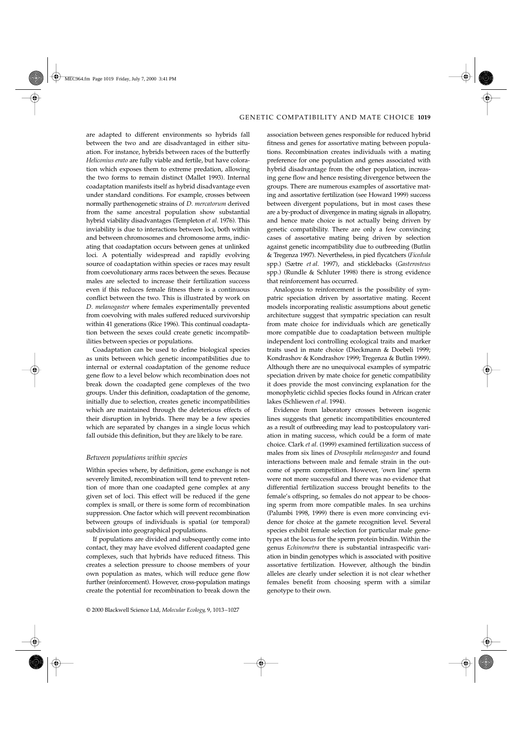are adapted to different environments so hybrids fall between the two and are disadvantaged in either situation. For instance, hybrids between races of the butterfly *Heliconius erato* are fully viable and fertile, but have coloration which exposes them to extreme predation, allowing the two forms to remain distinct (Mallet 1993). Internal coadaptation manifests itself as hybrid disadvantage even under standard conditions. For example, crosses between normally parthenogenetic strains of *D. mercatorum* derived from the same ancestral population show substantial hybrid viability disadvantages (Templeton *et al*. 1976). This inviability is due to interactions between loci, both within and between chromosomes and chromosome arms, indicating that coadaptation occurs between genes at unlinked loci. A potentially widespread and rapidly evolving source of coadaptation within species or races may result from coevolutionary arms races between the sexes. Because males are selected to increase their fertilization success even if this reduces female fitness there is a continuous conflict between the two. This is illustrated by work on *D. melanogaster* where females experimentally prevented from coevolving with males suffered reduced survivorship within 41 generations (Rice 1996). This continual coadaptation between the sexes could create genetic incompatibilities between species or populations.

Coadaptation can be used to define biological species as units between which genetic incompatibilities due to internal or external coadaptation of the genome reduce gene flow to a level below which recombination does not break down the coadapted gene complexes of the two groups. Under this definition, coadaptation of the genome, initially due to selection, creates genetic incompatibilities which are maintained through the deleterious effects of their disruption in hybrids. There may be a few species which are separated by changes in a single locus which fall outside this definition, but they are likely to be rare.

#### *Between populations within species*

Within species where, by definition, gene exchange is not severely limited, recombination will tend to prevent retention of more than one coadapted gene complex at any given set of loci. This effect will be reduced if the gene complex is small, or there is some form of recombination suppression. One factor which will prevent recombination between groups of individuals is spatial (or temporal) subdivision into geographical populations.

If populations are divided and subsequently come into contact, they may have evolved different coadapted gene complexes, such that hybrids have reduced fitness. This creates a selection pressure to choose members of your own population as mates, which will reduce gene flow further (reinforcement). However, cross-population matings create the potential for recombination to break down the

association between genes responsible for reduced hybrid fitness and genes for assortative mating between populations. Recombination creates individuals with a mating preference for one population and genes associated with hybrid disadvantage from the other population, increasing gene flow and hence resisting divergence between the groups. There are numerous examples of assortative mating and assortative fertilization (see Howard 1999) success between divergent populations, but in most cases these are a by-product of divergence in mating signals in allopatry, and hence mate choice is not actually being driven by genetic compatibility. There are only a few convincing cases of assortative mating being driven by selection against genetic incompatibility due to outbreeding (Butlin & Tregenza 1997). Nevertheless, in pied flycatchers (*Ficedula* spp.) (Sætre *et al*. 1997), and sticklebacks (*Gasterosteus* spp.) (Rundle & Schluter 1998) there is strong evidence that reinforcement has occurred.

Analogous to reinforcement is the possibility of sympatric speciation driven by assortative mating. Recent models incorporating realistic assumptions about genetic architecture suggest that sympatric speciation can result from mate choice for individuals which are genetically more compatible due to coadaptation between multiple independent loci controlling ecological traits and marker traits used in mate choice (Dieckmann & Doebeli 1999; Kondrashov & Kondrashov 1999; Tregenza & Butlin 1999). Although there are no unequivocal examples of sympatric speciation driven by mate choice for genetic compatibility it does provide the most convincing explanation for the monophyletic cichlid species flocks found in African crater lakes (Schliewen *et al*. 1994).

Evidence from laboratory crosses between isogenic lines suggests that genetic incompatibilities encountered as a result of outbreeding may lead to postcopulatory variation in mating success, which could be a form of mate choice. Clark *et al*. (1999) examined fertilization success of males from six lines of *Drosophila melanogaster* and found interactions between male and female strain in the outcome of sperm competition. However, 'own line' sperm were not more successful and there was no evidence that differential fertilization success brought benefits to the female's offspring, so females do not appear to be choosing sperm from more compatible males. In sea urchins (Palumbi 1998, 1999) there is even more convincing evidence for choice at the gamete recognition level. Several species exhibit female selection for particular male genotypes at the locus for the sperm protein bindin. Within the genus *Echinometra* there is substantial intraspecific variation in bindin genotypes which is associated with positive assortative fertilization. However, although the bindin alleles are clearly under selection it is not clear whether females benefit from choosing sperm with a similar genotype to their own.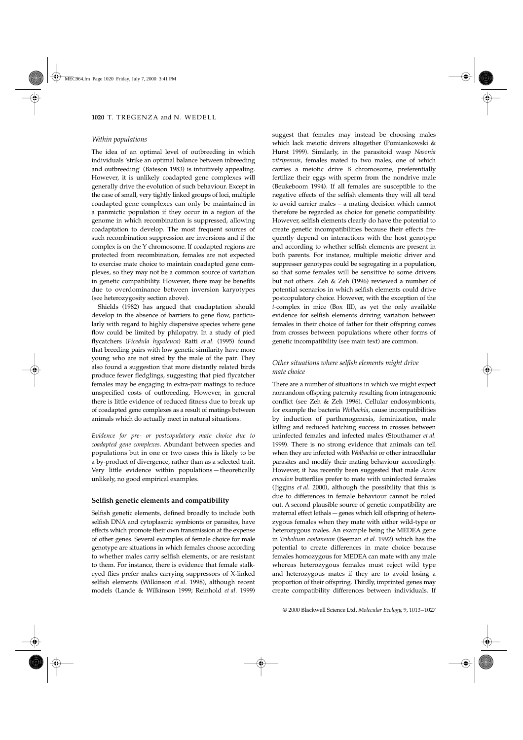## *Within populations*

The idea of an optimal level of outbreeding in which individuals 'strike an optimal balance between inbreeding and outbreeding' (Bateson 1983) is intuitively appealing. However, it is unlikely coadapted gene complexes will generally drive the evolution of such behaviour. Except in the case of small, very tightly linked groups of loci, multiple coadapted gene complexes can only be maintained in a panmictic population if they occur in a region of the genome in which recombination is suppressed, allowing coadaptation to develop. The most frequent sources of such recombination suppression are inversions and if the complex is on the Y chromosome. If coadapted regions are protected from recombination, females are not expected to exercise mate choice to maintain coadapted gene complexes, so they may not be a common source of variation in genetic compatibility. However, there may be benefits due to overdominance between inversion karyotypes (see heterozygosity section above).

Shields (1982) has argued that coadaptation should develop in the absence of barriers to gene flow, particularly with regard to highly dispersive species where gene flow could be limited by philopatry. In a study of pied flycatchers (*Ficedula hypoleuca*) Ratti *et al*. (1995) found that breeding pairs with low genetic similarity have more young who are not sired by the male of the pair. They also found a suggestion that more distantly related birds produce fewer fledglings, suggesting that pied flycatcher females may be engaging in extra-pair matings to reduce unspecified costs of outbreeding. However, in general there is little evidence of reduced fitness due to break up of coadapted gene complexes as a result of matings between animals which do actually meet in natural situations.

*Evidence for pre- or postcopulatory mate choice due to coadapted gene complexes.* Abundant between species and populations but in one or two cases this is likely to be a by-product of divergence, rather than as a selected trait. Very little evidence within populations — theoretically unlikely, no good empirical examples.

#### **Selfish genetic elements and compatibility**

Selfish genetic elements, defined broadly to include both selfish DNA and cytoplasmic symbionts or parasites, have effects which promote their own transmission at the expense of other genes. Several examples of female choice for male genotype are situations in which females choose according to whether males carry selfish elements, or are resistant to them. For instance, there is evidence that female stalkeyed flies prefer males carrying suppressors of X-linked selfish elements (Wilkinson *et al*. 1998), although recent models (Lande & Wilkinson 1999; Reinhold *et al*. 1999)

suggest that females may instead be choosing males which lack meiotic drivers altogether (Pomiankowski & Hurst 1999). Similarly, in the parasitoid wasp *Nasonia vitripennis*, females mated to two males, one of which carries a meiotic drive B chromosome, preferentially fertilize their eggs with sperm from the nondrive male (Beukeboom 1994). If all females are susceptible to the negative effects of the selfish elements they will all tend to avoid carrier males – a mating decision which cannot therefore be regarded as choice for genetic compatibility. However, selfish elements clearly do have the potential to create genetic incompatibilities because their effects frequently depend on interactions with the host genotype and according to whether selfish elements are present in both parents. For instance, multiple meiotic driver and suppresser genotypes could be segregating in a population, so that some females will be sensitive to some drivers but not others. Zeh & Zeh (1996) reviewed a number of potential scenarios in which selfish elements could drive postcopulatory choice. However, with the exception of the *t*-complex in mice (Box III), as yet the only available evidence for selfish elements driving variation between females in their choice of father for their offspring comes from crosses between populations where other forms of genetic incompatibility (see main text) are common.

# *Other situations where selfish elements might drive mate choice*

There are a number of situations in which we might expect nonrandom offspring paternity resulting from intragenomic conflict (see Zeh & Zeh 1996). Cellular endosymbionts, for example the bacteria *Wolbachia*, cause incompatibilities by induction of parthenogenesis, feminization, male killing and reduced hatching success in crosses between uninfected females and infected males (Stouthamer *et al*. 1999). There is no strong evidence that animals can tell when they are infected with *Wolbachia* or other intracellular parasites and modify their mating behaviour accordingly. However, it has recently been suggested that male *Acrea encedon* butterflies prefer to mate with uninfected females (Jiggins *et al*. 2000), although the possibility that this is due to differences in female behaviour cannot be ruled out. A second plausible source of genetic compatibility are maternal effect lethals — genes which kill offspring of heterozygous females when they mate with either wild-type or heterozygous males. An example being the MEDEA gene in *Tribolium castaneum* (Beeman *et al*. 1992) which has the potential to create differences in mate choice because females homozygous for MEDEA can mate with any male whereas heterozygous females must reject wild type and heterozygous mates if they are to avoid losing a proportion of their offspring. Thirdly, imprinted genes may create compatibility differences between individuals. If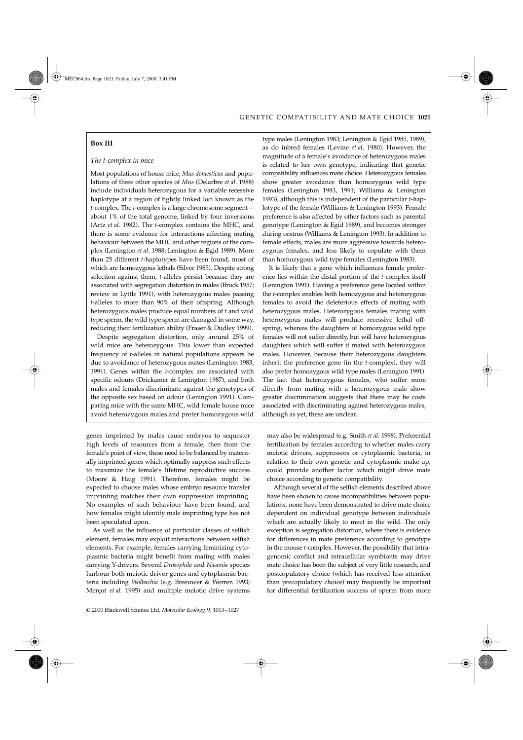# **Box III**

# *The t-complex in mice*

Most populations of house mice, *Mus domesticus* and populations of three other species of *Mus* (Delarbre *et al*. 1988) include individuals heterozygous for a variable recessive haplotype at a region of tightly linked loci known as the *t-*complex. The *t*-complex is a large chromosome segment about 1% of the total genome, linked by four inversions (Artz *et al*. 1982). The *t*-complex contains the MHC, and there is some evidence for interactions affecting mating behaviour between the MHC and other regions of the complex (Lenington *et al*. 1988; Lenington & Egid 1989). More than 25 different *t*-haplotypes have been found, most of which are homozygous lethals (Silver 1985). Despite strong selection against them, *t*-alleles persist because they are associated with segregation distortion in males (Bruck 1957; review in Lyttle 1991), with heterozygous males passing *t*-alleles to more than 90% of their offspring. Although heterozygous males produce equal numbers of *t* and wild type sperm, the wild type sperm are damaged in some way, reducing their fertilization ability (Fraser & Dudley 1999).

Despite segregation distortion, only around 25% of wild mice are heterozygous. This lower than expected frequency of *t*-alleles in natural populations appears be due to avoidance of heterozygous mates (Lenington 1983, 1991). Genes within the *t*-complex are associated with specific odours (Drickamer & Lenington 1987), and both males and females discriminate against the genotypes of the opposite sex based on odour (Lenington 1991). Comparing mice with the same MHC, wild female house mice avoid heterozygous males and prefer homozygous wild

genes imprinted by males cause embryos to sequester high levels of resources from a female, then from the female's point of view, these need to be balanced by maternally imprinted genes which optimally suppress such effects to maximize the female's lifetime reproductive success (Moore & Haig 1991). Therefore, females might be expected to choose males whose embryo resource transfer imprinting matches their own suppression imprinting. No examples of such behaviour have been found, and how females might identify male imprinting type has not been speculated upon.

As well as the influence of particular classes of selfish element, females may exploit interactions between selfish elements. For example, females carrying feminizing cytoplasmic bacteria might benefit from mating with males carrying Y-drivers. Several *Drosophila* and *Nasonia* species harbour both meiotic driver genes and cytoplasmic bacteria including *Wolbachia* (e.g. Breeuwer & Werren 1993; Merçot *et al*. 1995) and multiple meiotic drive systems

type males (Lenington 1983; Lenington & Egid 1985, 1989), as do inbred females (Levine *et al*. 1980). However, the magnitude of a female's avoidance of heterozygous males is related to her own genotype, indicating that genetic compatibility influences mate choice. Heterozygous females show greater avoidance than homozygous wild type females (Lenington 1983, 1991; Williams & Lenington 1993), although this is independent of the particular *t*-haplotype of the female (Williams & Lenington 1993). Female preference is also affected by other factors such as parental genotype (Lenington & Egid 1989), and becomes stronger during oestrus (Williams & Lenington 1993). In addition to female effects, males are more aggressive towards heterozygous females, and less likely to copulate with them than homozygous wild type females (Lenington 1983).

It is likely that a gene which influences female preference lies within the distal portion of the *t*-complex itself (Lenington 1991). Having a preference gene located within the *t*-complex enables both homozygous and heterozygous females to avoid the deleterious effects of mating with heterozygous males. Heterozygous females mating with heterozygous males will produce recessive lethal offspring, whereas the daughters of homozygous wild type females will not suffer directly, but will have heterozygous daughters which will suffer if mated with heterozygous males. However, because their heterozygous daughters inherit the preference gene (in the *t*-complex), they will also prefer homozygous wild type males (Lenington 1991). The fact that heterozygous females, who suffer more directly from mating with a heterozygous male show greater discrimination suggests that there may be costs associated with discriminating against heterozygous males, although as yet, these are unclear.

may also be widespread (e.g. Smith *et al*. 1998). Preferential fertilization by females according to whether males carry meiotic drivers, suppressors or cytoplasmic bacteria, in relation to their own genetic and cytoplasmic make-up, could provide another factor which might drive mate choice according to genetic compatibility.

Although several of the selfish elements described above have been shown to cause incompatibilities between populations, none have been demonstrated to drive mate choice dependent on individual genotype between individuals which are actually likely to meet in the wild. The only exception is segregation distortion, where there is evidence for differences in mate preference according to genotype in the mouse *t*-complex. However, the possibility that intragenomic conflict and intracellular symbionts may drive mate choice has been the subject of very little research, and postcopulatory choice (which has received less attention than precopulatory choice) may frequently be important for differential fertilization success of sperm from more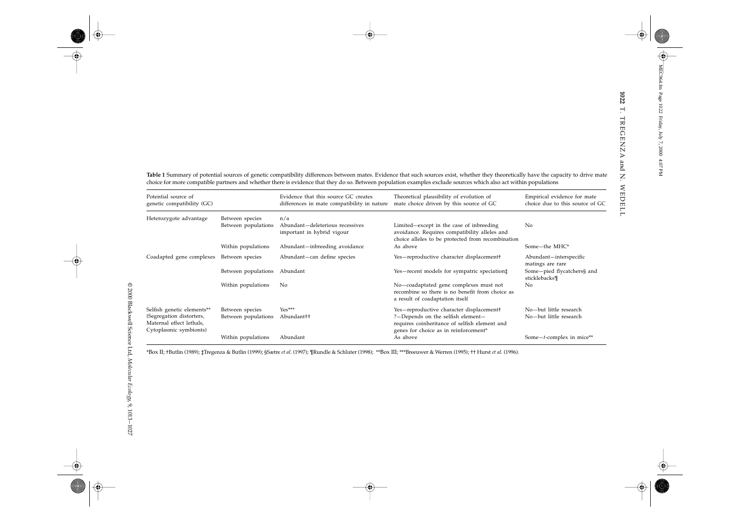Table 1 Summary of potential sources of genetic compatibility differences between mates. Evidence that such sources exist, whether they theoretically have the capacity to drive mate choice for more compatible partners and whether there is evidence that they do so. Between population examples exclude sources which also act within populations

| Potential source of<br>genetic compatibility (GC)                                                            |                     | Evidence that this source GC creates<br>differences in mate compatibility in nature | Theoretical plausibility of evolution of<br>mate choice driven by this source of GC                                                            | Empirical evidence for mate<br>choice due to this source of GC |
|--------------------------------------------------------------------------------------------------------------|---------------------|-------------------------------------------------------------------------------------|------------------------------------------------------------------------------------------------------------------------------------------------|----------------------------------------------------------------|
| Heterozygote advantage                                                                                       | Between species     | n/a                                                                                 |                                                                                                                                                |                                                                |
|                                                                                                              | Between populations | Abundant-deleterious recessives<br>important in hybrid vigour                       | Limited—except in the case of inbreeding<br>avoidance. Requires compatibility alleles and<br>choice alleles to be protected from recombination | No                                                             |
|                                                                                                              | Within populations  | Abundant-inbreeding avoidance                                                       | As above                                                                                                                                       | Some-the MHC*                                                  |
| Coadapted gene complexes                                                                                     | Between species     | Abundant-can define species                                                         | Yes-reproductive character displacement                                                                                                        | Abundant-interspecific<br>matings are rare                     |
|                                                                                                              | Between populations | Abundant                                                                            | Yes-recent models for sympatric speciation‡                                                                                                    | Some-pied flycatchers§ and<br>sticklebacks¶                    |
|                                                                                                              | Within populations  | No                                                                                  | No-coadaptated gene complexes must not<br>recombine so there is no benefit from choice as<br>a result of coadaptation itself                   | N <sub>o</sub>                                                 |
| Selfish genetic elements**<br>(Segregation distorters,<br>Maternal effect lethals,<br>Cytoplasmic symbionts) | Between species     | $Yes***$                                                                            | Yes-reproductive character displacement+                                                                                                       | No-but little research                                         |
|                                                                                                              | Between populations | Abundanttt                                                                          | ?-Depends on the selfish element-<br>requires coinheritance of selfish element and<br>genes for choice as in reinforcement*                    | No-but little research                                         |
|                                                                                                              | Within populations  | Abundant                                                                            | As above                                                                                                                                       | Some- <i>t</i> -complex in mice**                              |

\*Box II; †Butlin (1989); ‡Tregenza & Butlin (1999); §Sætre *et al*. (1997); ¶Rundle & Schluter (1998); \*\*Box III; \*\*\*Breeuwer & Werren (1995); †† Hurst *et al*. (1996).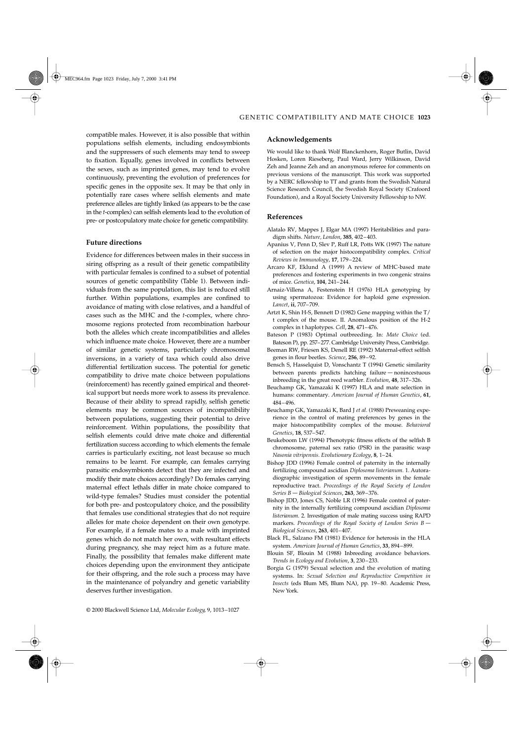compatible males. However, it is also possible that within populations selfish elements, including endosymbionts and the suppressers of such elements may tend to sweep to fixation. Equally, genes involved in conflicts between the sexes, such as imprinted genes, may tend to evolve continuously, preventing the evolution of preferences for specific genes in the opposite sex. It may be that only in potentially rare cases where selfish elements and mate preference alleles are tightly linked (as appears to be the case in the *t*-complex) can selfish elements lead to the evolution of pre- or postcopulatory mate choice for genetic compatibility.

## **Future directions**

Evidence for differences between males in their success in siring offspring as a result of their genetic compatibility with particular females is confined to a subset of potential sources of genetic compatibility (Table 1). Between individuals from the same population, this list is reduced still further. Within populations, examples are confined to avoidance of mating with close relatives, and a handful of cases such as the MHC and the *t*-complex, where chromosome regions protected from recombination harbour both the alleles which create incompatibilities and alleles which influence mate choice. However, there are a number of similar genetic systems, particularly chromosomal inversions, in a variety of taxa which could also drive differential fertilization success. The potential for genetic compatibility to drive mate choice between populations (reinforcement) has recently gained empirical and theoretical support but needs more work to assess its prevalence. Because of their ability to spread rapidly, selfish genetic elements may be common sources of incompatibility between populations, suggesting their potential to drive reinforcement. Within populations, the possibility that selfish elements could drive mate choice and differential fertilization success according to which elements the female carries is particularly exciting, not least because so much remains to be learnt. For example, can females carrying parasitic endosymbionts detect that they are infected and modify their mate choices accordingly? Do females carrying maternal effect lethals differ in mate choice compared to wild-type females? Studies must consider the potential for both pre- and postcopulatory choice, and the possibility that females use conditional strategies that do not require alleles for mate choice dependent on their own genotype. For example, if a female mates to a male with imprinted genes which do not match her own, with resultant effects during pregnancy, she may reject him as a future mate. Finally, the possibility that females make different mate choices depending upon the environment they anticipate for their offspring, and the role such a process may have in the maintenance of polyandry and genetic variability deserves further investigation.

## **Acknowledgements**

We would like to thank Wolf Blanckenhorn, Roger Butlin, David Hosken, Loren Rieseberg, Paul Ward, Jerry Wilkinson, David Zeh and Jeanne Zeh and an anonymous referee for comments on previous versions of the manuscript. This work was supported by a NERC fellowship to TT and grants from the Swedish Natural Science Research Council, the Swedish Royal Society (Crafoord Foundation), and a Royal Society University Fellowship to NW.

#### **References**

- Alatalo RV, Mappes J, Elgar MA (1997) Heritabilities and paradigm shifts. *Nature, London*, **385**, 402–403.
- Apanius V, Penn D, Slev P, Ruff LR, Potts WK (1997) The nature of selection on the major histocompatibility complex. *Critical Reviews in Immunology*, **17**, 179–224.
- Arcaro KF, Eklund A (1999) A review of MHC-based mate preferences and fostering experiments in two congenic strains of mice. *Genetica*, **104**, 241–244.
- Arnaiz-Villena A, Festenstein H (1976) HLA genotyping by using spermatozoa: Evidence for haploid gene expression. *Lancet*, **ii**, 707–709.
- Artzt K, Shin H-S, Bennett D (1982) Gene mapping within the T/ t complex of the mouse. II. Anomalous position of the H-2 complex in t haplotypes. *Cell*, **28**, 471–476.
- Bateson P (1983) Optimal outbreeding. In: *Mate Choice* (ed. Bateson P), pp. 257–277. Cambridge University Press, Cambridge.
- Beeman RW, Friesen KS, Denell RE (1992) Maternal-effect selfish genes in flour beetles. *Science*, **256**, 89–92.
- Bensch S, Hasselquist D, Vonschantz T (1994) Genetic similarity between parents predicts hatching failure — nonincestuous inbreeding in the great reed warbler. *Evolution*, **48**, 317–326.
- Beuchamp GK, Yamazaki K (1997) HLA and mate selection in humans: commentary. *American Journal of Human Genetics*, **61**, 484–496.
- Beuchamp GK, Yamazaki K, Bard J *et al.* (1988) Preweaning experience in the control of mating preferences by genes in the major histocompatibility complex of the mouse. *Behavioral Genetics*, **18**, 537–547.
- Beukeboom LW (1994) Phenotypic fitness effects of the selfish B chromosome, paternal sex ratio (PSR) in the parasitic wasp *Nasonia vitripennis. Evolutionary Ecology*, **8**, 1–24.
- Bishop JDD (1996) Female control of paternity in the internally fertilizing compound ascidian *Diplosoma listerianum.* 1. Autoradiographic investigation of sperm movements in the female reproductive tract. *Proceedings of the Royal Society of London Series B* — *Biological Sciences*, **263**, 369–376.
- Bishop JDD, Jones CS, Noble LR (1996) Female control of paternity in the internally fertilizing compound ascidian *Diplosoma listerianum*. 2. Investigation of male mating success using RAPD markers. *Proceedings of the Royal Society of London Series B* — *Biological Sciences*, **263**, 401–407.
- Black FL, Salzano FM (1981) Evidence for heterosis in the HLA system. *American Journal of Human Genetics*, **33**, 894–899.
- Blouin SF, Blouin M (1988) Inbreeding avoidance behaviors. *Trends in Ecology and Evolution*, **3**, 230–233.
- Borgia G (1979) Sexual selection and the evolution of mating systems. In: *Sexual Selection and Reproductive Competition in Insects* (eds Blum MS, Blum NA), pp. 19–80. Academic Press, New York.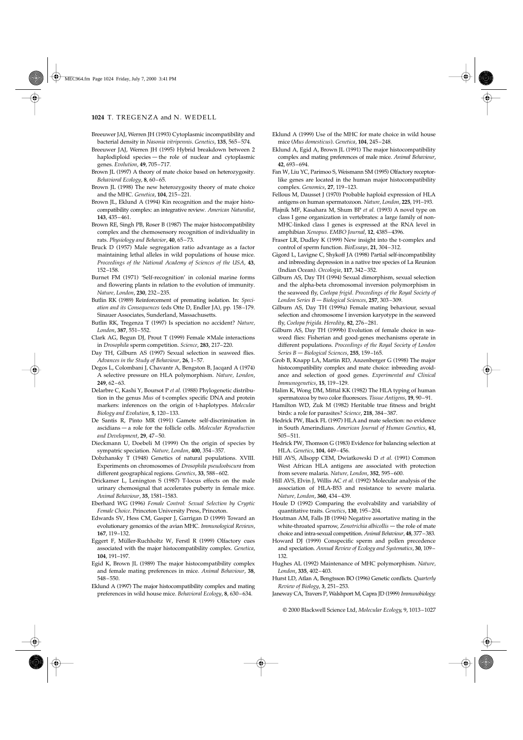#### 1024 T. TREGENZA and N. WEDELL

- Breeuwer JAJ, Werren JH (1993) Cytoplasmic incompatibility and bacterial density in *Nasonia vitripennis*. *Genetics*, **135**, 565–574.
- Breeuwer JAJ, Werren JH (1995) Hybrid breakdown between 2 haplodiploid species — the role of nuclear and cytoplasmic genes. *Evolution*, **49**, 705–717.
- Brown JL (1997) A theory of mate choice based on heterozygosity. *Behavioral Ecology*, **8**, 60–65.
- Brown JL (1998) The new heterozygosity theory of mate choice and the MHC. *Genetica*, **104**, 215–221.
- Brown JL, Eklund A (1994) Kin recognition and the major histocompatibility complex: an integrative review. *American Naturalist*, **143**, 435–461.
- Brown RE, Singh PB, Roser B (1987) The major histocompatibility complex and the chemosensory recognition of individuality in rats. *Physiology and Behavior*, **40**, 65–73.
- Bruck D (1957) Male segregation ratio advantage as a factor maintaining lethal alleles in wild populations of house mice. *Proceedings of the National Academy of Sciences of the USA*, **43**, 152–158.
- Burnet FM (1971) 'Self-recognition' in colonial marine forms and flowering plants in relation to the evolution of immunity. *Nature, London*, **230**, 232–235.
- Butlin RK (1989) Reinforcement of premating isolation. In: *Speciation and its Consequences* (eds Otte D, Endler JA), pp. 158–179. Sinauer Associates, Sunderland, Massachusetts.
- Butlin RK, Tregenza T (1997) Is speciation no accident? *Nature, London*, **387**, 551–552.
- Clark AG, Begun DJ, Prout T (1999) Female × Male interactions in *Drosophila* sperm competition. *Science*, **283**, 217–220.
- Day TH, Gilburn AS (1997) Sexual selection in seaweed flies. *Advances in the Study of Behaviour*, **26**, 1–57.
- Degos L, Colombani J, Chavantr A, Bengston B, Jacqard A (1974) A selective pressure on HLA polymorphism. *Nature, London*, **249**, 62–63.
- Delarbre C, Kashi Y, Boursot P *et al.* (1988) Phylogenetic distribution in the genus *Mus* of t-complex specific DNA and protein markers: inferences on the origin of t-haplotypes. *Molecular Biology and Evolution*, **5**, 120–133.
- De Santis R, Pinto MR (1991) Gamete self-discrimination in ascidians — a role for the follicle cells. *Molecular Reproduction and Development*, **29**, 47–50.
- Dieckmann U, Doebeli M (1999) On the origin of species by sympatric speciation. *Nature, London*, **400**, 354–357.
- Dobzhansky T (1948) Genetics of natural populations. XVIII. Experiments on chromosomes of *Drosophila pseudoobscura* from different geographical regions. *Genetics*, **33**, 588–602.
- Drickamer L, Lenington S (1987) T-locus effects on the male urinary chemosignal that accelerates puberty in female mice. *Animal Behaviour*, **35**, 1581–1583.
- Eberhard WG (1996) *Female Control: Sexual Selection by Cryptic Female Choice*. Princeton University Press, Princeton.
- Edwards SV, Hess CM, Gasper J, Garrigan D (1999) Toward an evolutionary genomics of the avian MHC. *Immunological Reviews*, **167**, 119–132.
- Eggert F, Müller-Ruchholtz W, Ferstl R (1999) Olfactory cues associated with the major histocompatibility complex. *Genetica*, **104**, 191–197.
- Egid K, Brown JL (1989) The major histocompatibility complex and female mating preferences in mice. *Animal Behaviour*, **38**, 548–550.
- Eklund A (1997) The major histocompatibility complex and mating preferences in wild house mice. *Behavioral Ecology*, **8**, 630–634.
- Eklund A (1999) Use of the MHC for mate choice in wild house mice (*Mus domesticus*). *Genetica*, **104**, 245–248.
- Eklund A, Egid A, Brown JL (1991) The major histocompatibility complex and mating preferences of male mice. *Animal Behaviour*, **42**, 693–694.
- Fan W, Liu YC, Parimoo S, Weismann SM (1995) Olfactory receptorlike genes are located in the human major histocompatibility complex. *Genomics*, **27**, 119–123.
- Fellous M, Dausset J (1970) Probable haploid expression of HLA antigens on human spermatozoon. *Nature, London*, **225**, 191–193.
- Flajnik MF, Kasahara M, Shum BP *et al.* (1993) A novel type on class I gene organization in vertebrates: a large family of non-MHC-linked class I genes is expressed at the RNA level in amphibian *Xenopus*. *EMBO Journal*, **12**, 4385–4396.
- Fraser LR, Dudley K (1999) New insight into the t-complex and control of sperm function. *BioEssays*, **21**, 304–312.
- Gigord L, Lavigne C, Shykoff JA (1998) Partial self-incompatibility and inbreeding depression in a native tree species of La Reunion (Indian Ocean). *Oecologia*, **117**, 342–352.
- Gilburn AS, Day TH (1994) Sexual dimorphism, sexual selection and the alpha-beta chromosomal inversion polymorphism in the seaweed fly, *Coelopa frigid. Proceedings of the Royal Society of London Series B* — *Biological Sciences*, **257**, 303–309.
- Gilburn AS, Day TH (1999a) Female mating behaviour, sexual selection and chromosome I inversion karyotype in the seaweed fly, *Coelopa frigida. Heredity*, **82**, 276–281.
- Gilburn AS, Day TH (1999b) Evolution of female choice in seaweed flies: Fisherian and good-genes mechanisms operate in different populations. *Proceedings of the Royal Society of London Series B* — *Biological Sciences*, **255**, 159–165.
- Grob B, Knapp LA, Martin RD, Anzenberger G (1998) The major histocompatibility complex and mate choice: inbreeding avoidance and selection of good genes. *Experimental and Clinical Immunogenetics*, **15**, 119–129.
- Halim K, Wong DM, Mittal KK (1982) The HLA typing of human spermatozoa by two color fluoresces. *Tissue Antigens*, **19**, 90–91.
- Hamilton WD, Zuk M (1982) Heritable true fitness and bright birds: a role for parasites? *Science*, **218**, 384–387.
- Hedrick PW, Black FL (1997) HLA and mate selection: no evidence in South Amerindians. *American Journal of Human Genetics*, **61**, 505–511.
- Hedrick PW, Thomson G (1983) Evidence for balancing selection at HLA. *Genetics*, **104**, 449–456.
- Hill AVS, Allsopp CEM, Dwiatkowski D *et al.* (1991) Common West African HLA antigens are associated with protection from severe malaria. *Nature, London*, **352**, 595–600.
- Hill AVS, Elvin J, Willis AC *et al.* (1992) Molecular analysis of the association of HLA-B53 and resistance to severe malaria. *Nature, London*, **360**, 434–439.
- Houle D (1992) Comparing the evolvability and variability of quantitative traits. *Genetics*, **130**, 195–204.
- Houtman AM, Falls JB (1994) Negative assortative mating in the white-throated sparrow, *Zonotrichia albicollis* — the role of mate choice and intra-sexual competition. *Animal Behaviour*, **48**, 377–383.
- Howard DJ (1999) Conspecific sperm and pollen precedence and speciation. *Annual Review of Ecology and Systematics*, **30**, 109– 132.
- Hughes AL (1992) Maintenance of MHC polymorphism. *Nature, London*, **335**, 402–403.
- Hurst LD, Atlan A, Bengtsson BO (1996) Genetic conflicts. *Quarterly Review of Biology*, **3**, 251–253.
- Janeway CA, Travers P, Walshport M, Capra JD (1999) *Immunobiology:*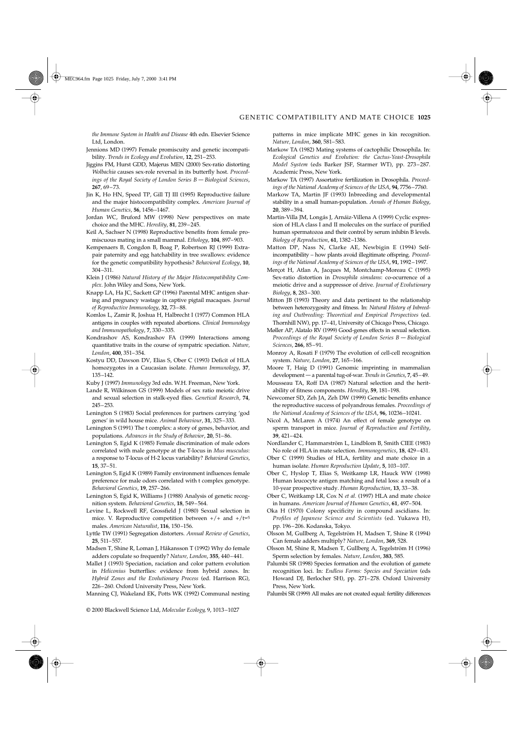*the Immune System in Health and Disease* 4th edn. Elsevier Science Ltd, London.

- Jennions MD (1997) Female promiscuity and genetic incompatibility. *Trends in Ecology and Evolution*, **12**, 251–253.
- Jiggins FM, Hurst GDD, Majerus MEN (2000) Sex-ratio distorting *Wolbachia* causes sex-role reversal in its butterfly host. *Proceedings of the Royal Society of London Series B* — *Biological Sciences*, **267**, 69–73.
- Jin K, Ho HN, Speed TP, Gill TJ III (1995) Reproductive failure and the major histocompatibility complex. *American Journal of Human Genetics*, **56**, 1456–1467.
- Jordan WC, Bruford MW (1998) New perspectives on mate choice and the MHC. *Heredity*, **81**, 239–245.
- Keil A, Sachser N (1998) Reproductive benefits from female promiscuous mating in a small mammal. *Ethology*, **104**, 897–903.
- Kempenaers B, Congdon B, Boag P, Robertson RJ (1999) Extrapair paternity and egg hatchability in tree swallows: evidence for the genetic compatibility hypothesis? *Behavioral Ecology*, **10**, 304–311.
- Klein J (1986) *Natural History of the Major Histocompatibility Complex*. John Wiley and Sons, New York.
- Knapp LA, Ha JC, Sackett GP (1996) Parental MHC antigen sharing and pregnancy wastage in captive pigtail macaques. *Journal of Reproductive Immunology*, **32**, 73–88.
- Komlos L, Zamir R, Joshua H, Halbrecht I (1977) Common HLA antigens in couples with repeated abortions. *Clinical Immunology and Immunopathology*, **7**, 330–335.
- Kondrashov AS, Kondrashov FA (1999) Interactions among quantitative traits in the course of sympatric speciation. *Nature, London*, **400**, 351–354.
- Kostyu DD, Dawson DV, Elias S, Ober C (1993) Deficit of HLA homozygotes in a Caucasian isolate. *Human Immunology*, **37**, 135–142.
- Kuby J (1997) *Immunology* 3rd edn. W.H. Freeman, New York.
- Lande R, Wilkinson GS (1999) Models of sex ratio meiotic drive and sexual selection in stalk-eyed flies. *Genetical Research*, **74**, 245–253.
- Lenington S (1983) Social preferences for partners carrying 'god genes' in wild house mice. *Animal Behaviour*, **31**, 325–333.
- Lenington S (1991) The t complex: a story of genes, behavior, and populations. *Advances in the Study of Behavior*, **20**, 51–86.
- Lenington S, Egid K (1985) Female discrimination of male odors correlated with male genotype at the T-locus in *Mus musculus*: a response to T-locus of H-2 locus variability? *Behavioral Genetics*, **15**, 37–51.
- Lenington S, Egid K (1989) Family environment influences female preference for male odors correlated with t complex genotype. *Behavioral Genetics*, **19**, 257–266.
- Lenington S, Egid K, Williams J (1988) Analysis of genetic recognition system. *Behavioral Genetics*, **18**, 549–564.
- Levine L, Rockwell RF, Grossfield J (1980) Sexual selection in mice. V. Reproductive competition between  $+/+$  and  $+/$ t<sup>w5</sup> males. *American Naturalist*, **116**, 150–156.
- Lyttle TW (1991) Segregation distorters. *Annual Review of Genetics*, **25**, 511–557.
- Madsen T, Shine R, Loman J, Håkansson T (1992) Why do female adders copulate so frequently? *Nature, London*, **355**, 440–441.
- Mallet J (1993) Speciation, raciation and color pattern evolution in *Heliconius* butterflies: evidence from hybrid zones. In: *Hybrid Zones and the Evolutionary Process* (ed. Harrison RG), 226–260. Oxford University Press, New York.

Manning CJ, Wakeland EK, Potts WK (1992) Communal nesting

© 2000 Blackwell Science Ltd, *Molecular Ecology*, 9, 1013–1027

patterns in mice implicate MHC genes in kin recognition. *Nature, London*, **360**, 581–583.

- Markow TA (1982) Mating systems of cactophilic Drosophila. In: *Ecological Genetics and Evolution: the Cactus-Yeast-Drosophila Model System* (eds Barker JSF, Starmer WT), pp. 273–287. Academic Press, New York.
- Markow TA (1997) Assortative fertilization in Drosophila. *Proceedings of the National Academy of Sciences of the USA*, **94**, 7756–7760.
- Markow TA, Martin JF (1993) Inbreeding and developmental stability in a small human-population. *Annals of Human Biology*, **20**, 389–394.
- Martin-Villa JM, Longás J, Arnáiz-Villena A (1999) Cyclic expression of HLA class I and II molecules on the surface of purified human spermatozoa and their control by serum inhibin B levels. *Biology of Reproduction*, **61**, 1382–1386.
- Matton DP, Nass N, Clarke AE, Newbigin E (1994) Selfincompatibility – how plants avoid illegitimate offspring. *Proceedings of the National Academy of Sciences of the USA*, **91**, 1992–1997.
- Merçot H, Atlan A, Jacques M, Montchamp-Moreau C (1995) Sex-ratio distortion in *Drosophila simulans*: co-ocurrence of a meiotic drive and a suppressor of drive. *Journal of Evolutionary Biology*, **8**, 283–300.
- Mitton JB (1993) Theory and data pertinent to the relationship between heterozygosity and fitness. In: *Natural History of Inbreeding and Outbreeding: Theoretical and Empirical Perspectives* (ed. Thornhill NW), pp. 17–41, University of Chicago Press, Chicago.
- Møller AP, Alatalo RV (1999) Good-genes effects in sexual selection. *Proceedings of the Royal Society of London Series B* — *Biological Sciences*, **266**, 85–91.
- Monroy A, Rosati F (1979) The evolution of cell-cell recognition system. *Nature, London*, **27**, 165–166.
- Moore T, Haig D (1991) Genomic imprinting in mammalian development — a parental tug-of-war. *Trends in Genetics*, **7**, 45–49.
- Mousseau TA, Roff DA (1987) Natural selection and the heritability of fitness components. *Heredity*, **59**, 181–198.
- Newcomer SD, Zeh JA, Zeh DW (1999) Genetic benefits enhance the reproductive success of polyandrous females. *Proceedings of the National Academy of Sciences of the USA*, **96**, 10236–10241.
- Nicol A, McLaren A (1974) An effect of female genotype on sperm transport in mice. *Journal of Reproduction and Fertility*, **39**, 421–424.
- Nordlander C, Hammarström L, Lindblom B, Smith CIEE (1983) No role of HLA in mate selection. *Immunogenetics*, **18**, 429–431.
- Ober C (1999) Studies of HLA, fertility and mate choice in a human isolate. *Human Reproduction Update*, **5**, 103–107.
- Ober C, Hyslop T, Elias S, Weitkamp LR, Hauck WW (1998) Human leucocyte antigen matching and fetal loss: a result of a 10-year prospective study. *Human Reproduction*, **13**, 33–38.
- Ober C, Weitkamp LR, Cox N *et al.* (1997) HLA and mate choice in humans. *American Journal of Human Genetics*, **61**, 497–504.
- Oka H (1970) Colony specificity in compound ascidians. In: *Profiles of Japanese Science and Scientists* (ed. Yukawa H), pp. 196–206. Kodanska, Tokyo.
- Olsson M, Gullberg A, Tegelström H, Madsen T, Shine R (1994) Can female adders multiply? *Nature, London*, **369**, 528.
- Olsson M, Shine R, Madsen T, Gullberg A, Tegelström H (1996) Sperm selection by females. *Nature, London*, **383**, 585.
- Palumbi SR (1998) Species formation and the evolution of gamete recognition loci. In: *Endless Forms: Species and Speciation* (eds Howard DJ, Berlocher SH), pp. 271–278. Oxford University Press, New York.
- Palumbi SR (1999) All males are not created equal: fertility differences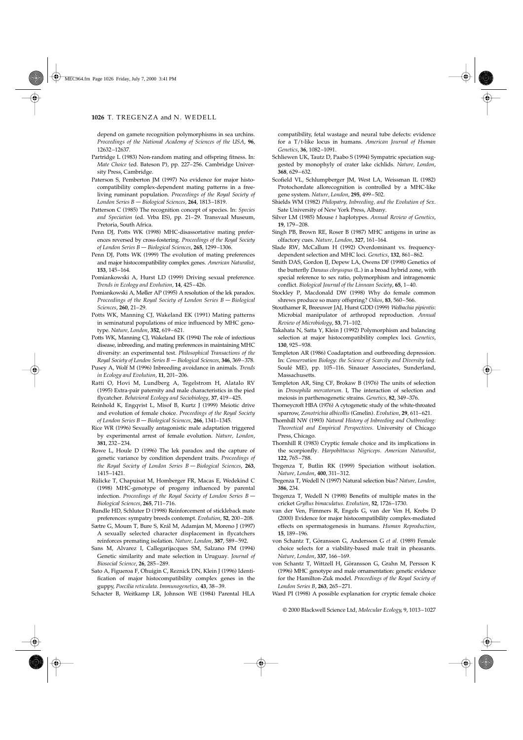depend on gamete recognition polymorphisms in sea urchins. *Proceedings of the National Academy of Sciences of the USA*, **96**, 12632–12637.

- Partridge L (1983) Non-random mating and offspring fitness. In: *Mate Choice* (ed. Bateson P), pp. 227–256. Cambridge University Press, Cambridge.
- Paterson S, Pemberton JM (1997) No evidence for major histocompatibility complex-dependent mating patterns in a freeliving ruminant population. *Proceedings of the Royal Society of London Series B* — *Biological Sciences*, **264**, 1813–1819.
- Patterson C (1985) The recognition concept of species. In: *Species and Speciation* (ed. Vrba ES), pp. 21–29. Transvaal Museum, Pretoria, South Africa.
- Penn DJ, Potts WK (1998) MHC-disassortative mating preferences reversed by cross-fostering. *Proceedings of the Royal Society of London Series B* — *Biological Sciences*, **265**, 1299–1306.
- Penn DJ, Potts WK (1999) The evolution of mating preferences and major histocompatibility complex genes. *American Naturalist*, **153**, 145–164.
- Pomiankowski A, Hurst LD (1999) Driving sexual preference. *Trends in Ecology and Evolution*, **14**, 425–426.
- Pomiankowski A, Møller AP (1995) A resolution of the lek paradox. *Proceedings of the Royal Society of London Series B* — *Biological Sciences*, **260**, 21–29.
- Potts WK, Manning CJ, Wakeland EK (1991) Mating patterns in seminatural populations of mice influenced by MHC genotype. *Nature, London*, **352**, 619–621.
- Potts WK, Manning CJ, Wakeland EK (1994) The role of infectious disease, inbreeding, and mating preferences in maintaining MHC diversity: an experimental test. *Philosophical Transactions of the Royal Society of London Series B* — *Biological Sciences*, **346**, 369–378.
- Pusey A, Wolf M (1996) Inbreeding avoidance in animals. *Trends in Ecology and Evolution*, **11**, 201–206.
- Ratti O, Hovi M, Lundberg A, Tegelstrom H, Alatalo RV (1995) Extra-pair paternity and male characteristics in the pied flycatcher. *Behavioral Ecology and Sociobiology*, **37**, 419–425.
- Reinhold K, Engqvist L, Misof B, Kurtz J (1999) Meiotic drive and evolution of female choice. *Proceedings of the Royal Society of London Series B* — *Biological Sciences*, **266**, 1341–1345.
- Rice WR (1996) Sexually antagonistic male adaptation triggered by experimental arrest of female evolution. *Nature, London*, **381**, 232–234.
- Rowe L, Houle D (1996) The lek paradox and the capture of genetic variance by condition dependent traits. *Proceedings of the Royal Society of London Series B* — *Biological Sciences*, **263**, 1415–1421.
- Rülicke T, Chapuisat M, Homberger FR, Macas E, Wedekind C (1998) MHC-genotype of progeny influenced by parental infection. *Proceedings of the Royal Society of London Series B* — *Biological Sciences*, **265**, 711–716.
- Rundle HD, Schluter D (1998) Reinforcement of stickleback mate preferences: sympatry breeds contempt. *Evolution*, **52**, 200–208.
- Sætre G, Moum T, Bure S, Král M, Adamjan M, Moreno J (1997) A sexually selected character displacement in flycatchers reinforces premating isolation. *Nature, London*, **387**, 589–592.
- Sans M, Alvarez I, Callegarijacques SM, Salzano FM (1994) Genetic similarity and mate selection in Uruguay. *Journal of Biosocial Science*, **26**, 285–289.
- Sato A, Figueroa F, Ohuigin C, Reznick DN, Klein J (1996) Identification of major histocompatibility complex genes in the guppy, *Poecilia reticulata*. *Immunogenetics*, **43**, 38–39.

Schacter B, Weitkamp LR, Johnson WE (1984) Parental HLA

compatibility, fetal wastage and neural tube defects: evidence for a T/t-like locus in humans. *American Journal of Human Genetics*, **36**, 1082–1091.

- Schliewen UK, Tautz D, Paabo S (1994) Sympatric speciation suggested by monophyly of crater lake cichlids. *Nature, London*, **368**, 629–632.
- Scofield VL, Schlumpberger JM, West LA, Weissman IL (1982) Protochordate allorecognition is controlled by a MHC-like gene system. *Nature, London*, **295**, 499–502.
- Shields WM (1982) *Philopatry, Inbreeding, and the Evolution of Sex*. Sate University of New York Press, Albany.
- Silver LM (1985) Mouse *t* haplotypes. *Annual Review of Genetics*, **19**, 179–208.
- Singh PB, Brown RE, Roser B (1987) MHC antigens in urine as olfactory cues. *Nature, London*, **327**, 161–164.
- Slade RW, McCallum H (1992) Overdominant vs. frequencydependent selection and MHC loci. *Genetics*, **132**, 861–862.
- Smith DAS, Gordon IJ, Depew LA, Owens DF (1998) Genetics of the butterfly *Danaus chrysspus* (L.) in a broad hybrid zone, with special reference to sex ratio, polymorphism and intragenomic conflict. *Biological Journal of the Linnean Society*, **65**, 1–40.
- Stockley P, Macdonald DW (1998) Why do female common shrews produce so many offspring? *Oikos*, **83**, 560–566.
- Stouthamer R, Breeuwer JAJ, Hurst GDD (1999) *Wolbachia pipientis*: Microbial manipulator of arthropod reproduction. *Annual Review of Microbiology*, **53**, 71–102.
- Takahata N, Satta Y, Klein J (1992) Polymorphism and balancing selection at major histocompatibility complex loci. *Genetics*, **130**, 925–938.
- Templeton AR (1986) Coadaptation and outbreeding depression. In: *Conservation Biology: the Science of Scarcity and Diversity* (ed. Soulé ME), pp. 105–116. Sinauer Associates, Sunderland, Massachusetts.
- Templeton AR, Sing CF, Brokaw B (1976) The units of selection in *Drosophila mercatorum.* I, The interaction of selection and meiosis in parthenogenetic strains. *Genetics*, **82**, 349–376.
- Thorneycroft HBA (1976) A cytogenetic study of the white-throated sparrow, *Zonotrichia albicollis* (Gmelin). *Evolution*, **29**, 611–621.
- Thornhill NW (1993) *Natural History of Inbreeding and Outbreeding: Theoretical and Empirical Perspectives*. University of Chicago Press, Chicago.
- Thornhill R (1983) Cryptic female choice and its implications in the scorpionfly. *Harpobittacus Nigriceps. American Naturalist*, **122**, 765–788.
- Tregenza T, Butlin RK (1999) Speciation without isolation. *Nature, London*, **400**, 311–312.
- Tregenza T, Wedell N (1997) Natural selection bias? *Nature, London*, **386**, 234.
- Tregenza T, Wedell N (1998) Benefits of multiple mates in the cricket *Gryllus bimaculatus*. *Evolution*, **52**, 1726–1730.
- van der Ven, Fimmers R, Engels G, van der Ven H, Krebs D (2000) Evidence for major histocompatibility complex-mediated effects on spermatogenesis in humans. *Human Reproduction*, **15**, 189–196.
- von Schantz T, Göransson G, Andersson G *et al.* (1989) Female choice selects for a viability-based male trait in pheasants. *Nature, London*, **337**, 166–169.
- von Schantz T, Wittzell H, Göransson G, Grahn M, Persson K (1996) MHC genotype and male ornamentation: genetic evidence for the Hamilton-Zuk model. *Proceedings of the Royal Society of London Series B*, **263**, 265–271.
- Ward PI (1998) A possible explanation for cryptic female choice